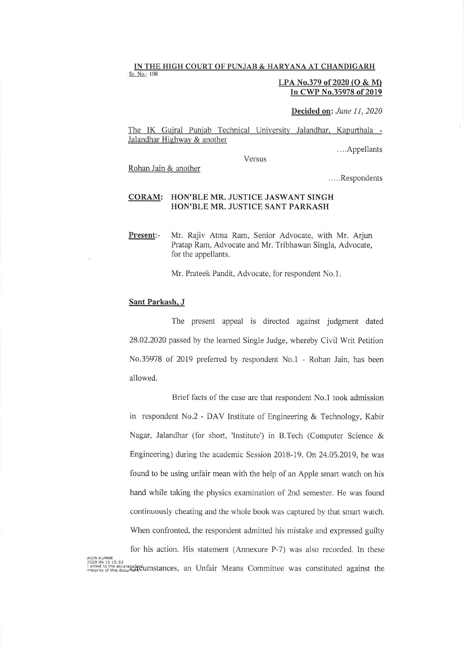## IN THE HIGH COURT OF PUNJAB & HARYANA AT CHANDIGARH

Sr. No.: 108

## LPA No.379 of 2020 (O & M) In CWP No.35978 of 2019

Decided on: June 11, 2020

The IK Gujral Punjab Technical University Jalandhar, Kapurthala -Jalandhar Highway & another

Versus

....Appellants

Rohan Jain & another

Respondents

## CORAM: HON'BLE MR, JUSTICE JASWANT SINGH HON'BLE MR. JUSTICE SANT PARKASH

Present:- Mr. Rajiv Atma Ram, Senior Advocate, with Mr. Arjun Pratap Ram, Advocate and Mr. Tribhawan Singla, Advocate, for the appellants.

Mr. Prateek Pandit, Advocate, for respondent No.1.

## Sant Parkash. J

The present appeal is directed against judgment dated 28.02.2020 passed by the leamed Single Judge, whereby Civil Writ Petition No.35978 of 2019 prefened by respondent No.1 - Rohan Jain, has been allowed.

Brief facts of the case are that respondent No.l took admission in respondent No.2 - DAV Institute of Engineering & Technology, Kabir Nagar, Jalandhar (for short, 'lnstitute') in B.Tech (Computer Science & Engineering) during the academic Session 2018-19. On 24.05.2019, he was found to be using unfair mean with the help of an Apple smart watch on his hand while taking the physics examination of 2nd semester. He was found continuously cheating and the whole book was captured by that smart watch. When confronted, the respondent admitted his mistake and expressed guilty for his action. His statement (Annexure P-7) was also recorded. ln these AVIN KUMAR<br>2020.06.15 15:53<br>I attest to the accuracy and Unital Cumstances, an Unfair Means Committee was constituted against the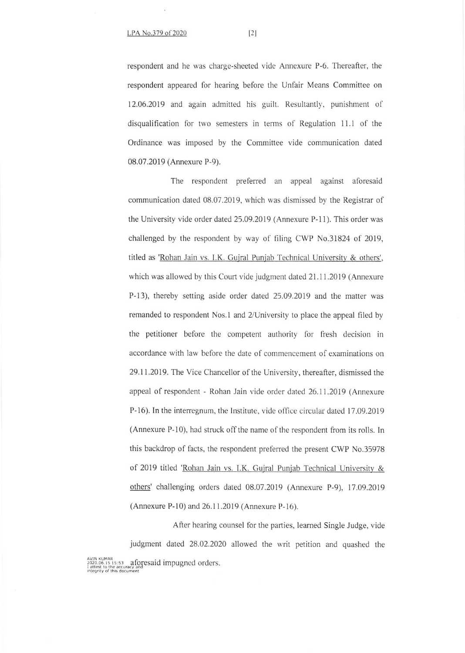respondent and he was charge-sheeted vide Annexure P-6. Thereafter, the respondent appeared for hearing before the Unfair Means Committee on 12.06.2019 and again admitted his guilt. Resultantly, punishment of disqualification for two semesters in terms of Regulation 11.1 of the Ordinance was imposed by the Committee vide communication dated 08.07.2019 (Annexure P-9).

The respondent preferred an appeal against aforesaid communication dated 08.07.2019, which was dismissed by the Registrar of the University vide order dated 25.09.2019 (Annexure P-11). This order was challenged by the respondent by way of filing CWP No.31824 of 2019, titled as 'Rohan Jain vs. I.K. Gujral Punjab Technical University & others', which was allowed by this Court vide judgment dated 21.11.2019 (Annexure P-13), thereby setting aside order dated 25.09.2019 and the matrer was remanded to respondent Nos.1 and 2/University to place the appeal filed by the petitioner before the competent authority for fresh decision in accordance with law before the date of commencement of examinations on 29.11.2019. The Vice Chancellor of the University, thereafter, dismissed the appeal of respondent - Rohan Jain vide order dated 26.11-2019 (Annexure P-16). In the interregnum, the Institute, vide office circular dated 17.09.2019 (Annexure P-10), had struck off the name of the respondent from its rolls. In this backdrop of facts, the respondent preferred the present CWP No.35978 of 2019 titled 'Rohan Jain vs. I.K. Gujral Puniab Technical University & others' challenging orders dated 08.07.2019 (Annexure P-9), 17.09.2019 (Annexure P-10) and 26.11.2019 (Annexure P-16).

After hearing counsel for the parties, learned Single Judge, vide judgment dated 28.02.2020 allowed the writ petition and quashed the WIN NUMAR, 19:53 aforesaid impugned orders.<br>Lattest to the accuracy and<br>Integrity of this document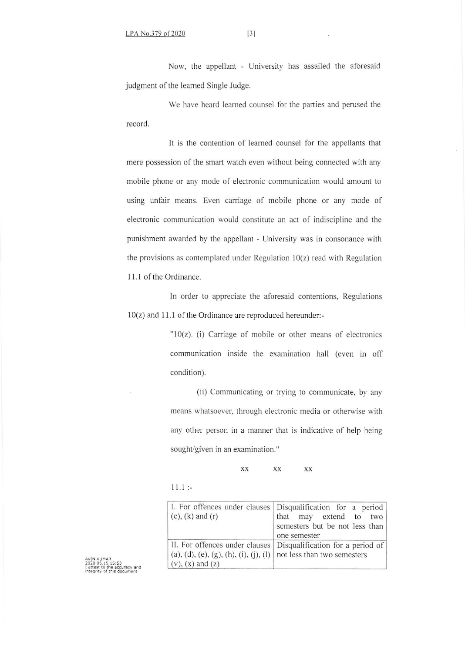Now. the appellant - University has assailed the aforesaid judgment of the learned Single Judge.

We have heard leamed counsel for the parties and perused the record.

It is the contention of learned counsel for the appellants that mere possession of the smart watch even without being connected with any mobile phone or any mode of electronic communication would amount to using unfair means. Even carriage of mobile phone or any mode of electronic communication would constitute an act of indiscipline and the punishment awarded by the appellant - University was in consonance with the provisions as contemplated under Regulation  $10(z)$  read with Regulation 11.1 of the Ordinance.

ln order to appreciate the aforesaid contentions, Regulations  $10(z)$  and 11.1 of the Ordinance are reproduced hereunder:-

> $"10(z)$ . (i) Carriage of mobile or other means of electronics communication inside the examination hall (even in off condition).

> (ii) Communicating or trying to communicate, by any means whatsoever, through electronic media or otherwise with any other person in a manner that is indicative of help being sought/given in an examination."

> > xx xx xx

 $11.1$ :

| $(c)$ , $(k)$ and $(r)$                                                                                                         | I. For offences under clauses   Disqualification for a period  <br>that may extend to two<br>semesters but be not less than<br>one semester |
|---------------------------------------------------------------------------------------------------------------------------------|---------------------------------------------------------------------------------------------------------------------------------------------|
| II. For offences under clauses<br>(a), (d), (e), (g), (h), (i), (j), (l) not less than two semesters<br>$(v)$ , $(x)$ and $(z)$ | Disqualification for a period of                                                                                                            |

I attest to the accuracy and<br>Integrity of this document